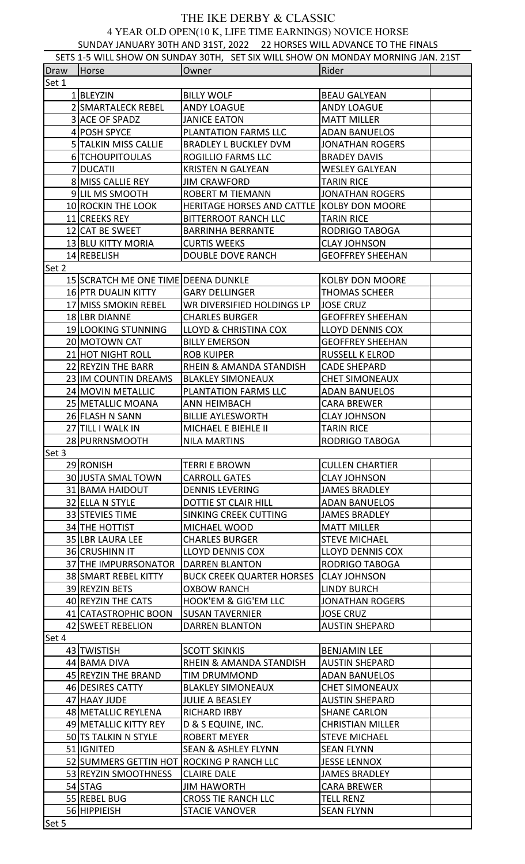## THE IKE DERBY & CLASSIC 4 YEAR OLD OPEN(10 K, LIFE TIME EARNINGS) NOVICE HORSE SUNDAY JANUARY 30TH AND 31ST, 2022 22 HORSES WILL ADVANCE TO THE FINALS

| $50.10711$ so that so the second second second second second through the time that is<br>SETS 1-5 WILL SHOW ON SUNDAY 30TH, SET SIX WILL SHOW ON MONDAY MORNING JAN. 21ST |                                           |                                            |                         |  |  |  |
|---------------------------------------------------------------------------------------------------------------------------------------------------------------------------|-------------------------------------------|--------------------------------------------|-------------------------|--|--|--|
| Draw                                                                                                                                                                      | Horse                                     | Owner                                      | Rider                   |  |  |  |
| Set 1                                                                                                                                                                     |                                           |                                            |                         |  |  |  |
|                                                                                                                                                                           | 1BLEYZIN                                  | <b>BILLY WOLF</b>                          | <b>BEAU GALYEAN</b>     |  |  |  |
|                                                                                                                                                                           | 2 SMARTALECK REBEL                        | <b>ANDY LOAGUE</b>                         | <b>ANDY LOAGUE</b>      |  |  |  |
|                                                                                                                                                                           | 3 ACE OF SPADZ                            | <b>JANICE EATON</b>                        | <b>MATT MILLER</b>      |  |  |  |
|                                                                                                                                                                           | 4 POSH SPYCE                              | PLANTATION FARMS LLC                       | <b>ADAN BANUELOS</b>    |  |  |  |
|                                                                                                                                                                           | 5 TALKIN MISS CALLIE                      | <b>BRADLEY L BUCKLEY DVM</b>               | <b>JONATHAN ROGERS</b>  |  |  |  |
|                                                                                                                                                                           | 6 TCHOUPITOULAS                           | ROGILLIO FARMS LLC                         | <b>BRADEY DAVIS</b>     |  |  |  |
|                                                                                                                                                                           | 7 DUCATII                                 | <b>KRISTEN N GALYEAN</b>                   | <b>WESLEY GALYEAN</b>   |  |  |  |
|                                                                                                                                                                           | 8 MISS CALLIE REY                         | <b>JIM CRAWFORD</b>                        | <b>TARIN RICE</b>       |  |  |  |
|                                                                                                                                                                           | 9 LIL MS SMOOTH                           | <b>ROBERT M TIEMANN</b>                    | <b>JONATHAN ROGERS</b>  |  |  |  |
|                                                                                                                                                                           | 10 ROCKIN THE LOOK                        | HERITAGE HORSES AND CATTLE KOLBY DON MOORE |                         |  |  |  |
|                                                                                                                                                                           | 11 CREEKS REY                             | <b>BITTERROOT RANCH LLC</b>                | <b>TARIN RICE</b>       |  |  |  |
|                                                                                                                                                                           | 12 CAT BE SWEET                           | <b>BARRINHA BERRANTE</b>                   | RODRIGO TABOGA          |  |  |  |
|                                                                                                                                                                           |                                           |                                            |                         |  |  |  |
|                                                                                                                                                                           | 13 BLU KITTY MORIA                        | <b>CURTIS WEEKS</b>                        | <b>CLAY JOHNSON</b>     |  |  |  |
|                                                                                                                                                                           | 14 REBELISH                               | <b>DOUBLE DOVE RANCH</b>                   | <b>GEOFFREY SHEEHAN</b> |  |  |  |
| Set 2                                                                                                                                                                     |                                           |                                            |                         |  |  |  |
|                                                                                                                                                                           | 15 SCRATCH ME ONE TIME DEENA DUNKLE       |                                            | <b>KOLBY DON MOORE</b>  |  |  |  |
|                                                                                                                                                                           | 16 PTR DUALIN KITTY                       | <b>GARY DELLINGER</b>                      | <b>THOMAS SCHEER</b>    |  |  |  |
|                                                                                                                                                                           | 17 MISS SMOKIN REBEL                      | WR DIVERSIFIED HOLDINGS LP                 | <b>JOSE CRUZ</b>        |  |  |  |
|                                                                                                                                                                           | 18 LBR DIANNE                             | <b>CHARLES BURGER</b>                      | <b>GEOFFREY SHEEHAN</b> |  |  |  |
|                                                                                                                                                                           | 19 LOOKING STUNNING                       | LLOYD & CHRISTINA COX                      | LLOYD DENNIS COX        |  |  |  |
|                                                                                                                                                                           | 20 MOTOWN CAT                             | <b>BILLY EMERSON</b>                       | <b>GEOFFREY SHEEHAN</b> |  |  |  |
|                                                                                                                                                                           | 21 HOT NIGHT ROLL                         | <b>ROB KUIPER</b>                          | <b>RUSSELL K ELROD</b>  |  |  |  |
|                                                                                                                                                                           | 22 REYZIN THE BARR                        | RHEIN & AMANDA STANDISH                    | <b>CADE SHEPARD</b>     |  |  |  |
|                                                                                                                                                                           | 23 IM COUNTIN DREAMS                      | <b>BLAKLEY SIMONEAUX</b>                   | <b>CHET SIMONEAUX</b>   |  |  |  |
|                                                                                                                                                                           | 24 MOVIN METALLIC                         | PLANTATION FARMS LLC                       | <b>ADAN BANUELOS</b>    |  |  |  |
|                                                                                                                                                                           | 25 METALLIC MOANA                         | ANN HEIMBACH                               | <b>CARA BREWER</b>      |  |  |  |
|                                                                                                                                                                           | 26 FLASH N SANN                           | <b>BILLIE AYLESWORTH</b>                   | <b>CLAY JOHNSON</b>     |  |  |  |
|                                                                                                                                                                           | 27 TILL I WALK IN                         | MICHAEL E BIEHLE II                        | <b>TARIN RICE</b>       |  |  |  |
|                                                                                                                                                                           | 28 PURRNSMOOTH                            | <b>NILA MARTINS</b>                        | RODRIGO TABOGA          |  |  |  |
| Set 3                                                                                                                                                                     |                                           |                                            |                         |  |  |  |
|                                                                                                                                                                           | 29 RONISH                                 | <b>TERRI E BROWN</b>                       | <b>CULLEN CHARTIER</b>  |  |  |  |
|                                                                                                                                                                           | 30 JUSTA SMAL TOWN                        | <b>CARROLL GATES</b>                       | <b>CLAY JOHNSON</b>     |  |  |  |
|                                                                                                                                                                           | 31 BAMA HAIDOUT                           | <b>DENNIS LEVERING</b>                     | <b>JAMES BRADLEY</b>    |  |  |  |
|                                                                                                                                                                           | 32 ELLA N STYLE                           | DOTTIE ST CLAIR HILL                       | <b>ADAN BANUELOS</b>    |  |  |  |
|                                                                                                                                                                           | 33 STEVIES TIME                           | SINKING CREEK CUTTING                      | <b>JAMES BRADLEY</b>    |  |  |  |
|                                                                                                                                                                           | 34 THE HOTTIST                            | MICHAEL WOOD                               | <b>MATT MILLER</b>      |  |  |  |
|                                                                                                                                                                           | 35 LBR LAURA LEE                          | <b>CHARLES BURGER</b>                      | <b>STEVE MICHAEL</b>    |  |  |  |
|                                                                                                                                                                           | 36 CRUSHINN IT                            | LLOYD DENNIS COX                           | LLOYD DENNIS COX        |  |  |  |
|                                                                                                                                                                           | 37 THE IMPURRSONATOR   DARREN BLANTON     |                                            | RODRIGO TABOGA          |  |  |  |
|                                                                                                                                                                           | 38 SMART REBEL KITTY                      | BUCK CREEK QUARTER HORSES CLAY JOHNSON     |                         |  |  |  |
|                                                                                                                                                                           | 39 REYZIN BETS                            | <b>OXBOW RANCH</b>                         | <b>LINDY BURCH</b>      |  |  |  |
|                                                                                                                                                                           | 40 REYZIN THE CATS                        | HOOK'EM & GIG'EM LLC                       | <b>JONATHAN ROGERS</b>  |  |  |  |
|                                                                                                                                                                           | 41 CATASTROPHIC BOON                      | <b>SUSAN TAVERNIER</b>                     | <b>JOSE CRUZ</b>        |  |  |  |
|                                                                                                                                                                           | 42 SWEET REBELION                         | <b>DARREN BLANTON</b>                      | <b>AUSTIN SHEPARD</b>   |  |  |  |
| Set 4                                                                                                                                                                     |                                           |                                            |                         |  |  |  |
|                                                                                                                                                                           | 43 TWISTISH                               | <b>SCOTT SKINKIS</b>                       | <b>BENJAMIN LEE</b>     |  |  |  |
|                                                                                                                                                                           | 44 BAMA DIVA                              | RHEIN & AMANDA STANDISH                    | <b>AUSTIN SHEPARD</b>   |  |  |  |
|                                                                                                                                                                           |                                           |                                            |                         |  |  |  |
|                                                                                                                                                                           | 45 REYZIN THE BRAND                       | <b>TIM DRUMMOND</b>                        | <b>ADAN BANUELOS</b>    |  |  |  |
|                                                                                                                                                                           | 46 DESIRES CATTY                          | <b>BLAKLEY SIMONEAUX</b>                   | <b>CHET SIMONEAUX</b>   |  |  |  |
|                                                                                                                                                                           | 47 HAAY JUDE                              | <b>JULIE A BEASLEY</b>                     | <b>AUSTIN SHEPARD</b>   |  |  |  |
|                                                                                                                                                                           | 48 METALLIC REYLENA                       | <b>RICHARD IRBY</b>                        | <b>SHANE CARLON</b>     |  |  |  |
|                                                                                                                                                                           | 49 METALLIC KITTY REY                     | D & S EQUINE, INC.                         | <b>CHRISTIAN MILLER</b> |  |  |  |
|                                                                                                                                                                           | 50 TS TALKIN N STYLE                      | <b>ROBERT MEYER</b>                        | <b>STEVE MICHAEL</b>    |  |  |  |
|                                                                                                                                                                           | 51 IGNITED                                | <b>SEAN &amp; ASHLEY FLYNN</b>             | <b>SEAN FLYNN</b>       |  |  |  |
|                                                                                                                                                                           | 52 SUMMERS GETTIN HOT ROCKING P RANCH LLC |                                            | <b>JESSE LENNOX</b>     |  |  |  |
|                                                                                                                                                                           | 53 REYZIN SMOOTHNESS                      | <b>CLAIRE DALE</b>                         | <b>JAMES BRADLEY</b>    |  |  |  |
|                                                                                                                                                                           | 54 STAG                                   | <b>JIM HAWORTH</b>                         | <b>CARA BREWER</b>      |  |  |  |
|                                                                                                                                                                           | 55 REBEL BUG                              | <b>CROSS TIE RANCH LLC</b>                 | <b>TELL RENZ</b>        |  |  |  |
|                                                                                                                                                                           | 56 HIPPIEISH                              | <b>STACIE VANOVER</b>                      | <b>SEAN FLYNN</b>       |  |  |  |
| Set 5                                                                                                                                                                     |                                           |                                            |                         |  |  |  |